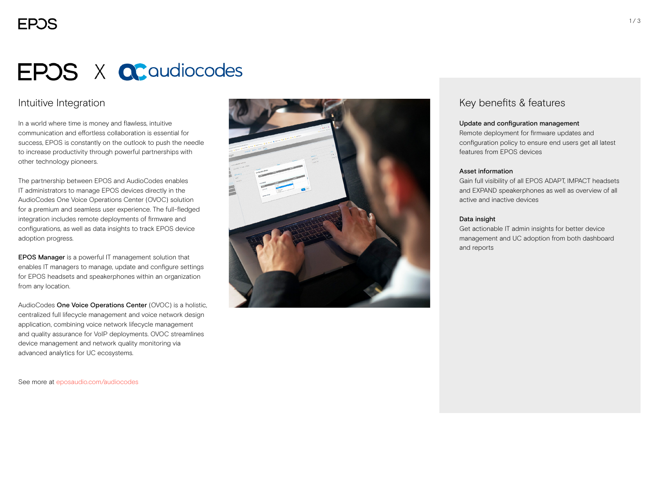# **EPOS X QC** audiocodes

### Intuitive Integration

In a world where time is money and flawless, intuitive communication and effortless collaboration is essential for success, EPOS is constantly on the outlook to push the needle to increase productivity through powerful partnerships with other technology pioneers.

The partnership between EPOS and AudioCodes enables IT administrators to manage EPOS devices directly in the AudioCodes One Voice Operations Center (OVOC) solution for a premium and seamless user experience. The full-fledged integration includes remote deployments of firmware and configurations, as well as data insights to track EPOS device adoption progress.

EPOS Manager is a powerful IT management solution that enables IT managers to manage, update and configure settings for EPOS headsets and speakerphones within an organization from any location.

AudioCodes One Voice Operations Center (OVOC) is a holistic, centralized full lifecycle management and voice network design application, combining voice network lifecycle management and quality assurance for VoIP deployments. OVOC streamlines device management and network quality monitoring via advanced analytics for UC ecosystems.

See more at [eposaudio.com/audiocodes](http://eposaudio.com/audiocodes)



### Key benefits & features

#### Update and configuration management

Remote deployment for firmware updates and configuration policy to ensure end users get all latest features from EPOS devices

#### Asset information

Gain full visibility of all EPOS ADAPT, IMPACT headsets and EXPAND speakerphones as well as overview of all active and inactive devices

#### Data insight

Get actionable IT admin insights for better device management and UC adoption from both dashboard and reports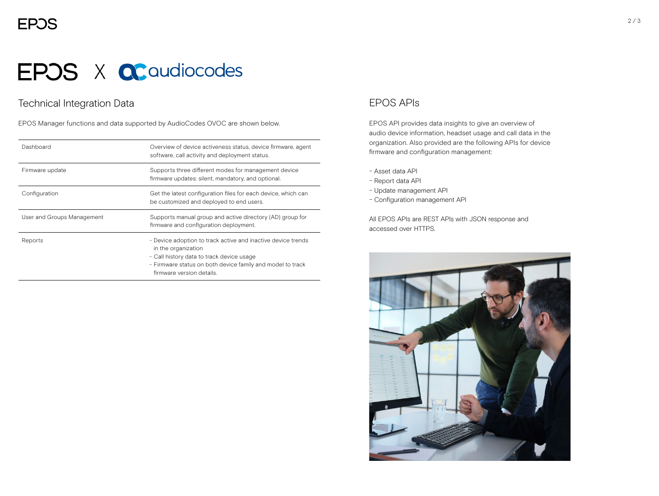# **EPOS X QC** audiocodes

## Technical Integration Data

EPOS Manager functions and data supported by AudioCodes OVOC are shown below.

| Dashboard                  | Overview of device activeness status, device firmware, agent<br>software, call activity and deployment status.                                                                                                              |
|----------------------------|-----------------------------------------------------------------------------------------------------------------------------------------------------------------------------------------------------------------------------|
| Firmware update            | Supports three different modes for management device<br>firmware updates: silent, mandatory, and optional.                                                                                                                  |
| Configuration              | Get the latest configuration files for each device, which can<br>be customized and deployed to end users.                                                                                                                   |
| User and Groups Management | Supports manual group and active directory (AD) group for<br>firmware and configuration deployment.                                                                                                                         |
| Reports                    | - Device adoption to track active and inactive device trends<br>in the organization<br>- Call history data to track device usage<br>- Firmware status on both device family and model to track<br>firmware version details. |

### EPOS APIs

EPOS API provides data insights to give an overview of audio device information, headset usage and call data in the organization. Also provided are the following APIs for device firmware and configuration management:

- − Asset data API
- − Report data API
- − Update management API
- − Configuration management API

All EPOS APIs are REST APIs with JSON response and accessed over HTTPS.